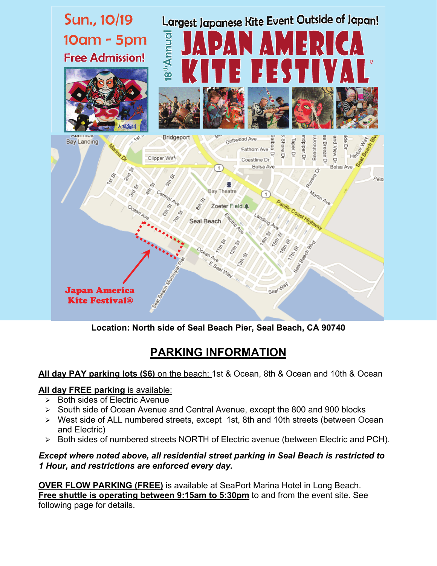

**Location: North side of Seal Beach Pier, Seal Beach, CA 90740** 

# **PARKING INFORMATION**

## **All day PAY parking lots (\$6)** on the beach: 1st & Ocean, 8th & Ocean and 10th & Ocean

## **All day FREE parking** is available:

- $\triangleright$  Both sides of Electric Avenue
- ¾ South side of Ocean Avenue and Central Avenue, except the 800 and 900 blocks
- ¾ West side of ALL numbered streets, except 1st, 8th and 10th streets (between Ocean and Electric)
- ¾ Both sides of numbered streets NORTH of Electric avenue (between Electric and PCH).

#### *Except where noted above, all residential street parking in Seal Beach is restricted to 1 Hour, and restrictions are enforced every day.*

**OVER FLOW PARKING (FREE)** is available at SeaPort Marina Hotel in Long Beach. **Free shuttle is operating between 9:15am to 5:30pm** to and from the event site. See following page for details.